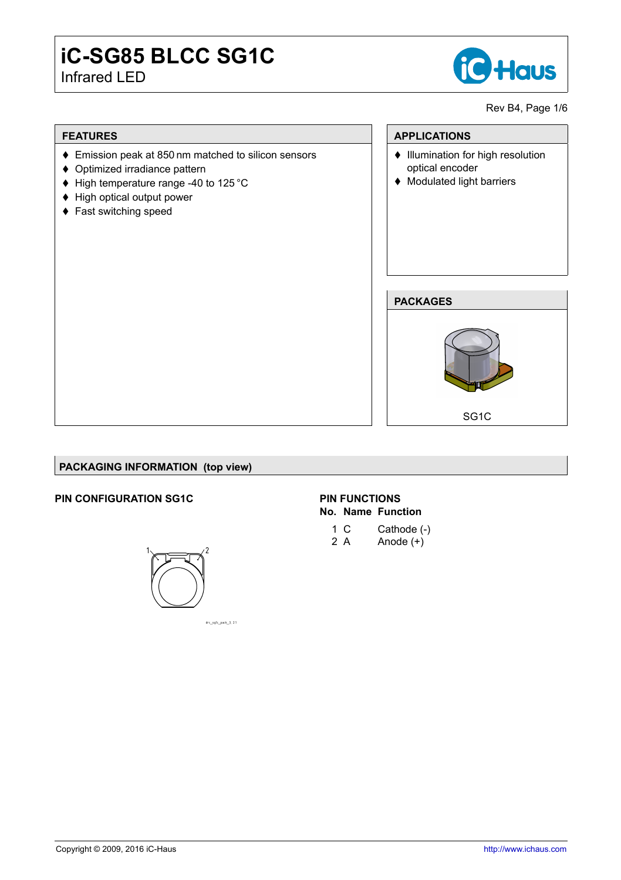# **iC-SG85 BLCC SG1C** Infrared LED



Rev B4, Page 1[/6](#page-4-0)

## **FEATURES**

- ♦ Emission peak at 850 nm matched to silicon sensors
- $\triangle$  Optimized irradiance pattern
- $\blacklozenge$  High temperature range -40 to 125 °C
- ◆ High optical output power
- ◆ Fast switching speed

## **APPLICATIONS**

- $\bullet$  Illumination for high resolution optical encoder
- ◆ Modulated light barriers

#### **PACKAGES**



## **PACKAGING INFORMATION (top view)**

## **PIN CONFIGURATION SG1C**



## **PIN FUNCTIONS No. Name Function**

- 1 C Cathode (-)
- 2 A  $\qquad$  Anode  $(+)$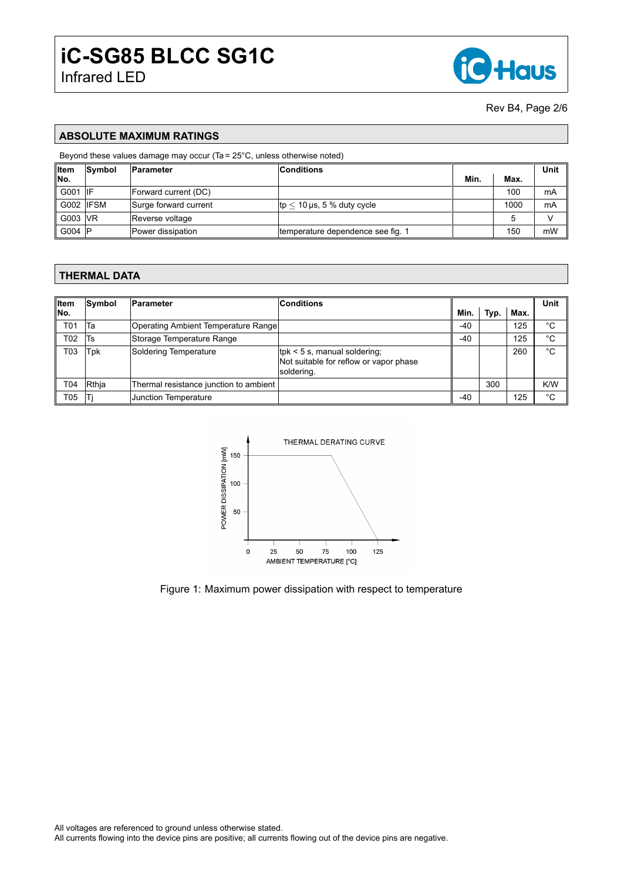

Rev B4, Page 2[/6](#page-4-0)

## **ABSOLUTE MAXIMUM RATINGS**

#### Beyond these values damage may occur (Ta = 25°C, unless otherwise noted)

| ∥Item      | Symbol | Parameter             | <b>Conditions</b>                            |      |      | Unit |
|------------|--------|-----------------------|----------------------------------------------|------|------|------|
| ∥No.       |        |                       |                                              | Min. | Max. |      |
| G001       | -lif   | Forward current (DC)  |                                              |      | 100  | mA   |
| G002 IIFSM |        | Surge forward current | $ {\rm tp} < 10 \mu{\rm s}$ , 5 % duty cycle |      | 1000 | mA   |
| G003 VR    |        | Reverse voltage       |                                              |      |      |      |
| G004 $ P $ |        | Power dissipation     | temperature dependence see fig. 1            |      | 150  | mW   |

#### **THERMAL DATA**

| ∥Item | Symbol | Parameter                              | <b>Conditions</b>                                                                        |       |      |      | Unit |
|-------|--------|----------------------------------------|------------------------------------------------------------------------------------------|-------|------|------|------|
| ∥No.  |        |                                        |                                                                                          | Min.  | Typ. | Max. |      |
| T01   | Та     | Operating Ambient Temperature Range    |                                                                                          | $-40$ |      | 125  | °C   |
| T02   | Ts     | Storage Temperature Range              |                                                                                          | $-40$ |      | 125  | °C   |
| T03   | Tpk    | Soldering Temperature                  | $ $ tpk < 5 s, manual soldering;<br>Not suitable for reflow or vapor phase<br>soldering. |       |      | 260  | °C   |
| T04   | Rthja  | Thermal resistance junction to ambient |                                                                                          |       | 300  |      | K/W  |
| Т05   |        | Junction Temperature                   |                                                                                          | $-40$ |      | 125  | °C   |



Figure 1: Maximum power dissipation with respect to temperature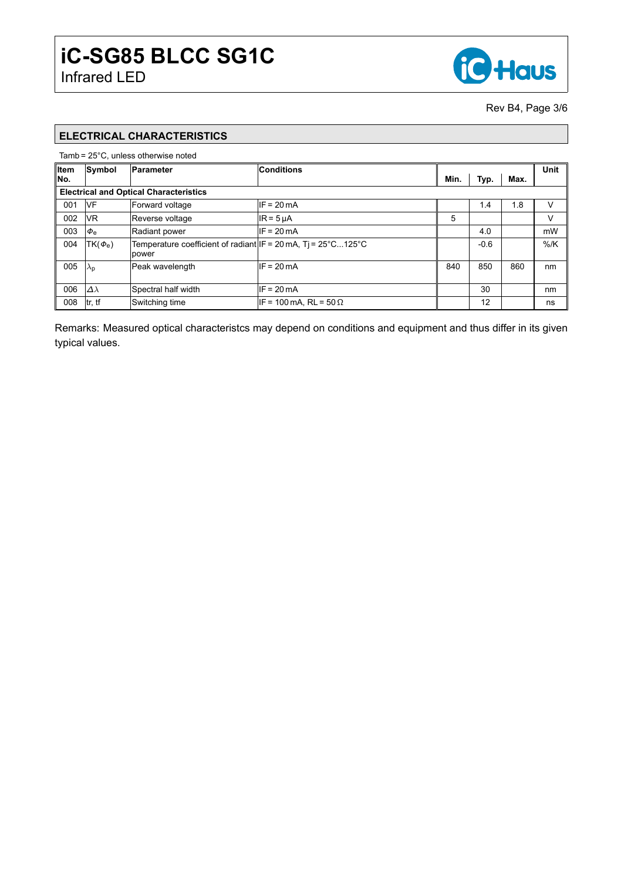

Rev B4, Page 3[/6](#page-4-0)

# **ELECTRICAL CHARACTERISTICS**

#### Tamb = 25°C, unless otherwise noted

| ∥Item                                         | Symbol                | Parameter                                                                                                 | Conditions                    |      |        |      | Unit   |
|-----------------------------------------------|-----------------------|-----------------------------------------------------------------------------------------------------------|-------------------------------|------|--------|------|--------|
| No.                                           |                       |                                                                                                           |                               | Min. | Typ.   | Max. |        |
| <b>Electrical and Optical Characteristics</b> |                       |                                                                                                           |                               |      |        |      |        |
| 001                                           | IVF                   | Forward voltage                                                                                           | $IF = 20mA$                   |      | 1.4    | 1.8  | V      |
| 002                                           | <b>VR</b>             | Reverse voltage                                                                                           | $IR = 5 \mu A$                | 5    |        |      | V      |
| 003                                           | $\Phi_{\rm e}$        | Radiant power                                                                                             | $IF = 20mA$                   |      | 4.0    |      | mW     |
| 004                                           | $TK(\phi_e)$          | Temperature coefficient of radiant IF = 20 mA, Ti = $25^{\circ}$ C125 $^{\circ}$ C<br><i><b>power</b></i> |                               |      | $-0.6$ |      | $%$ /K |
| 005                                           | $ \lambda_{\text{D}}$ | Peak wavelength                                                                                           | $IF = 20mA$                   | 840  | 850    | 860  | nm     |
| 006                                           | $\Delta\lambda$       | Spectral half width                                                                                       | $IF = 20mA$                   |      | 30     |      | nm     |
| 008                                           | tr, tf                | Switching time                                                                                            | IF = 100 mA, RL = 50 $\Omega$ |      | 12     |      | ns     |

Remarks: Measured optical characteristcs may depend on conditions and equipment and thus differ in its given typical values.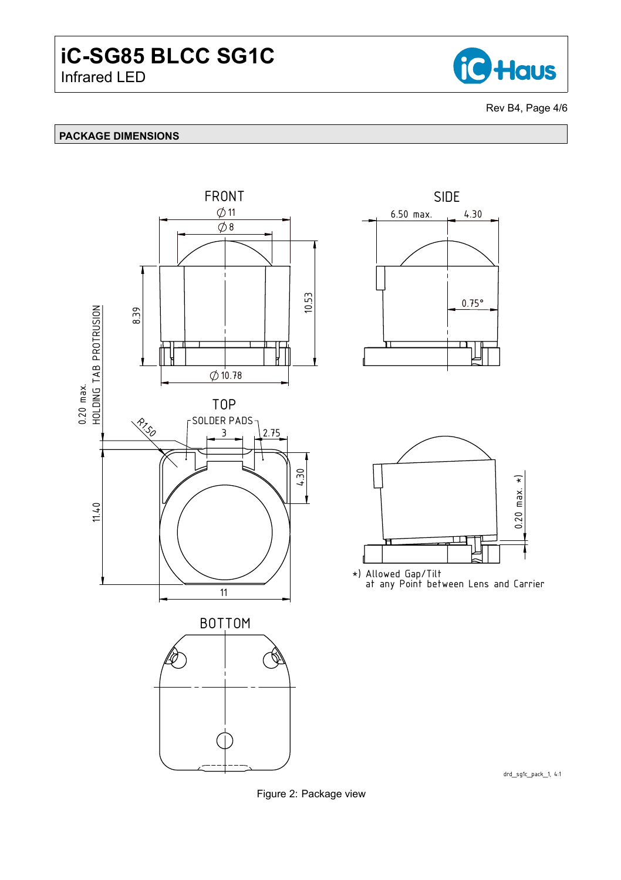

Rev B4, Page 4[/6](#page-4-0)

## **PACKAGE DIMENSIONS**







\*) Allowed Gap/Tilt at any Point between Lens and Carrier

drd\_sg1c\_pack\_1, 4:1

Figure 2: Package view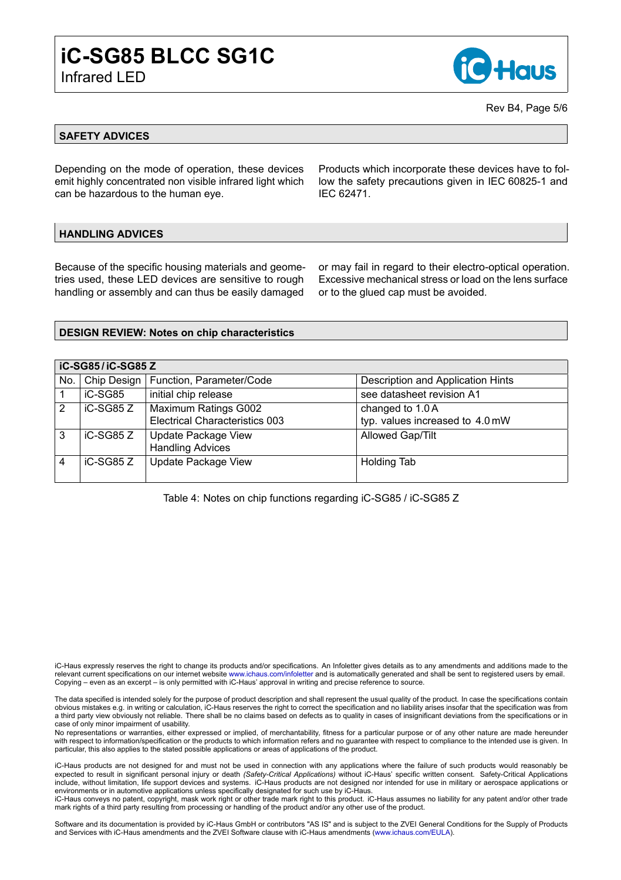

Rev B4, Page 5[/6](#page-4-0)

### **SAFETY ADVICES**

Depending on the mode of operation, these devices emit highly concentrated non visible infrared light which can be hazardous to the human eye.

Products which incorporate these devices have to follow the safety precautions given in IEC 60825-1 and IEC 62471.

## **HANDLING ADVICES**

Because of the specific housing materials and geometries used, these LED devices are sensitive to rough handling or assembly and can thus be easily damaged

or may fail in regard to their electro-optical operation. Excessive mechanical stress or load on the lens surface or to the glued cap must be avoided.

#### **DESIGN REVIEW: Notes on chip characteristics**

|     | iC-SG85/iC-SG85 Z |                                        |                                   |  |  |  |
|-----|-------------------|----------------------------------------|-----------------------------------|--|--|--|
| No. |                   | Chip Design   Function, Parameter/Code | Description and Application Hints |  |  |  |
|     | iC-SG85           | initial chip release                   | see datasheet revision A1         |  |  |  |
| 2   | iC-SG85 Z         | <b>Maximum Ratings G002</b>            | changed to 1.0 A                  |  |  |  |
|     |                   | <b>Electrical Characteristics 003</b>  | typ. values increased to 4.0 mW   |  |  |  |
| 3   | iC-SG85 Z         | Update Package View                    | <b>Allowed Gap/Tilt</b>           |  |  |  |
|     |                   | <b>Handling Advices</b>                |                                   |  |  |  |
| 4   | iC-SG85 Z         | Update Package View                    | <b>Holding Tab</b>                |  |  |  |
|     |                   |                                        |                                   |  |  |  |

<span id="page-4-0"></span>Table 4: Notes on chip functions regarding iC-SG85 / iC-SG85 Z

iC-Haus expressly reserves the right to change its products and/or specifications. An Infoletter gives details as to any amendments and additions made to the relevant current specifications on our internet website [www.ichaus.com/infoletter](http://www.ichaus.com/infoletter) and is automatically generated and shall be sent to registered users by email. Copying – even as an excerpt – is only permitted with iC-Haus' approval in writing and precise reference to source.

The data specified is intended solely for the purpose of product description and shall represent the usual quality of the product. In case the specifications contain<br>obvious mistakes e.g. in writing or calculation, iC-Haus a third party view obviously not reliable. There shall be no claims based on defects as to quality in cases of insignificant deviations from the specifications or in case of only minor impairment of usability.

No representations or warranties, either expressed or implied, of merchantability, fitness for a particular purpose or of any other nature are made hereunder with respect to information/specification or the products to which information refers and no guarantee with respect to compliance to the intended use is given. In particular, this also applies to the stated possible applications or areas of applications of the product.

iC-Haus products are not designed for and must not be used in connection with any applications where the failure of such products would reasonably be expected to result in significant personal injury or death *(Safety-Critical Applications)* without iC-Haus' specific written consent. Safety-Critical Applications include, without limitation, life support devices and systems. iC-Haus products are not designed nor intended for use in military or aerospace applications or environments or in automotive applications unless specifically designated for such use by iC-Haus.

iC-Haus conveys no patent, copyright, mask work right or other trade mark right to this product. iC-Haus assumes no liability for any patent and/or other trade mark rights of a third party resulting from processing or handling of the product and/or any other use of the product.

Software and its documentation is provided by iC-Haus GmbH or contributors "AS IS" and is subject to the ZVEI General Conditions for the Supply of Products and Services with iC-Haus amendments and the ZVEI Software clause with iC-Haus amendments [\(www.ichaus.com/EULA\)](http://www.ichaus.com/EULA).